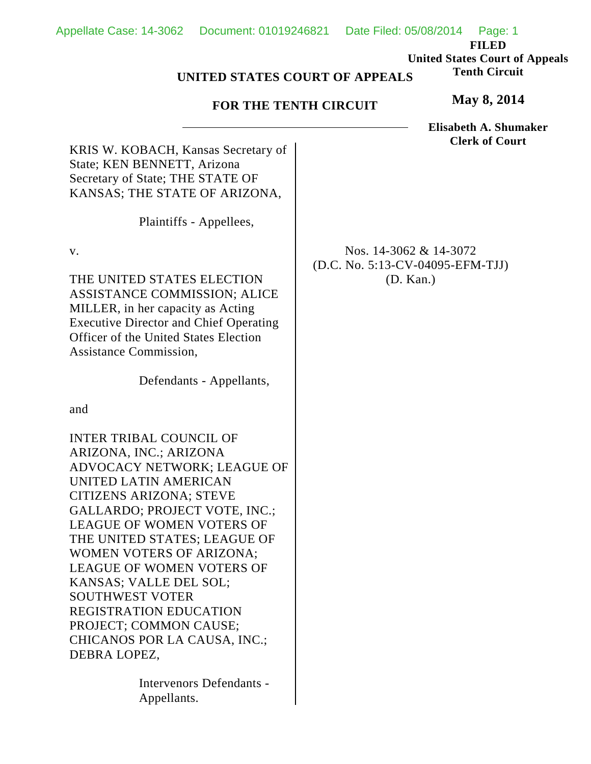**FILED United States Court of Appeals Tenth Circuit**

## **UNITED STATES COURT OF APPEALS**

## **FOR THE TENTH CIRCUIT**

**May 8, 2014**

**Elisabeth A. Shumaker Clerk of Court**

KRIS W. KOBACH, Kansas Secretary of State; KEN BENNETT, Arizona Secretary of State; THE STATE OF KANSAS; THE STATE OF ARIZONA,

Plaintiffs - Appellees,

v.

THE UNITED STATES ELECTION ASSISTANCE COMMISSION; ALICE MILLER, in her capacity as Acting Executive Director and Chief Operating Officer of the United States Election Assistance Commission,

Defendants - Appellants,

and

INTER TRIBAL COUNCIL OF ARIZONA, INC.; ARIZONA ADVOCACY NETWORK; LEAGUE OF UNITED LATIN AMERICAN CITIZENS ARIZONA; STEVE GALLARDO; PROJECT VOTE, INC.; LEAGUE OF WOMEN VOTERS OF THE UNITED STATES; LEAGUE OF WOMEN VOTERS OF ARIZONA; LEAGUE OF WOMEN VOTERS OF KANSAS; VALLE DEL SOL; SOUTHWEST VOTER REGISTRATION EDUCATION PROJECT; COMMON CAUSE; CHICANOS POR LA CAUSA, INC.; DEBRA LOPEZ,

> Intervenors Defendants - Appellants.

Nos. 14-3062 & 14-3072 (D.C. No. 5:13-CV-04095-EFM-TJJ) (D. Kan.)